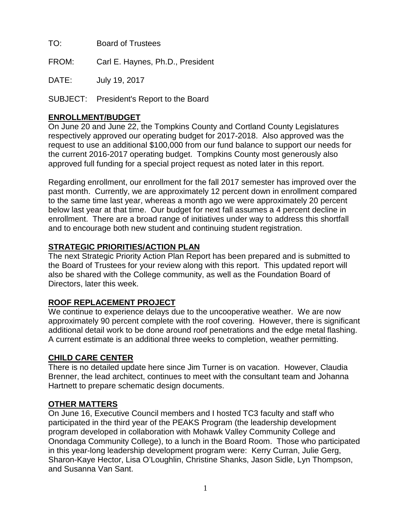TO: Board of Trustees

FROM: Carl E. Haynes, Ph.D., President

DATE: July 19, 2017

SUBJECT: President's Report to the Board

### **ENROLLMENT/BUDGET**

On June 20 and June 22, the Tompkins County and Cortland County Legislatures respectively approved our operating budget for 2017-2018. Also approved was the request to use an additional \$100,000 from our fund balance to support our needs for the current 2016-2017 operating budget. Tompkins County most generously also approved full funding for a special project request as noted later in this report.

Regarding enrollment, our enrollment for the fall 2017 semester has improved over the past month. Currently, we are approximately 12 percent down in enrollment compared to the same time last year, whereas a month ago we were approximately 20 percent below last year at that time. Our budget for next fall assumes a 4 percent decline in enrollment. There are a broad range of initiatives under way to address this shortfall and to encourage both new student and continuing student registration.

# **STRATEGIC PRIORITIES/ACTION PLAN**

The next Strategic Priority Action Plan Report has been prepared and is submitted to the Board of Trustees for your review along with this report. This updated report will also be shared with the College community, as well as the Foundation Board of Directors, later this week.

# **ROOF REPLACEMENT PROJECT**

We continue to experience delays due to the uncooperative weather. We are now approximately 90 percent complete with the roof covering. However, there is significant additional detail work to be done around roof penetrations and the edge metal flashing. A current estimate is an additional three weeks to completion, weather permitting.

### **CHILD CARE CENTER**

There is no detailed update here since Jim Turner is on vacation. However, Claudia Brenner, the lead architect, continues to meet with the consultant team and Johanna Hartnett to prepare schematic design documents.

# **OTHER MATTERS**

On June 16, Executive Council members and I hosted TC3 faculty and staff who participated in the third year of the PEAKS Program (the leadership development program developed in collaboration with Mohawk Valley Community College and Onondaga Community College), to a lunch in the Board Room. Those who participated in this year-long leadership development program were: Kerry Curran, Julie Gerg, Sharon-Kaye Hector, Lisa O'Loughlin, Christine Shanks, Jason Sidle, Lyn Thompson, and Susanna Van Sant.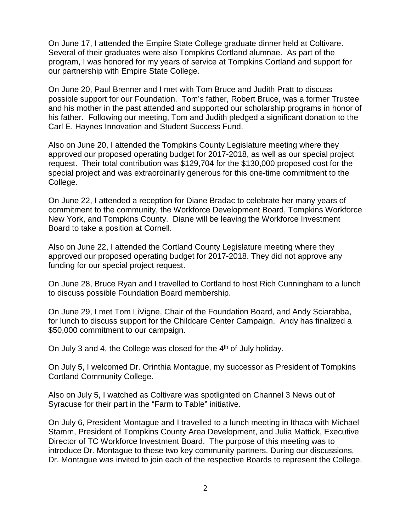On June 17, I attended the Empire State College graduate dinner held at Coltivare. Several of their graduates were also Tompkins Cortland alumnae. As part of the program, I was honored for my years of service at Tompkins Cortland and support for our partnership with Empire State College.

On June 20, Paul Brenner and I met with Tom Bruce and Judith Pratt to discuss possible support for our Foundation. Tom's father, Robert Bruce, was a former Trustee and his mother in the past attended and supported our scholarship programs in honor of his father. Following our meeting, Tom and Judith pledged a significant donation to the Carl E. Haynes Innovation and Student Success Fund.

Also on June 20, I attended the Tompkins County Legislature meeting where they approved our proposed operating budget for 2017-2018, as well as our special project request. Their total contribution was \$129,704 for the \$130,000 proposed cost for the special project and was extraordinarily generous for this one-time commitment to the College.

On June 22, I attended a reception for Diane Bradac to celebrate her many years of commitment to the community, the Workforce Development Board, Tompkins Workforce New York, and Tompkins County. Diane will be leaving the Workforce Investment Board to take a position at Cornell.

Also on June 22, I attended the Cortland County Legislature meeting where they approved our proposed operating budget for 2017-2018. They did not approve any funding for our special project request.

On June 28, Bruce Ryan and I travelled to Cortland to host Rich Cunningham to a lunch to discuss possible Foundation Board membership.

On June 29, I met Tom LiVigne, Chair of the Foundation Board, and Andy Sciarabba, for lunch to discuss support for the Childcare Center Campaign. Andy has finalized a \$50,000 commitment to our campaign.

On July 3 and 4, the College was closed for the 4<sup>th</sup> of July holiday.

On July 5, I welcomed Dr. Orinthia Montague, my successor as President of Tompkins Cortland Community College.

Also on July 5, I watched as Coltivare was spotlighted on Channel 3 News out of Syracuse for their part in the "Farm to Table" initiative.

On July 6, President Montague and I travelled to a lunch meeting in Ithaca with Michael Stamm, President of Tompkins County Area Development, and Julia Mattick, Executive Director of TC Workforce Investment Board. The purpose of this meeting was to introduce Dr. Montague to these two key community partners. During our discussions, Dr. Montague was invited to join each of the respective Boards to represent the College.